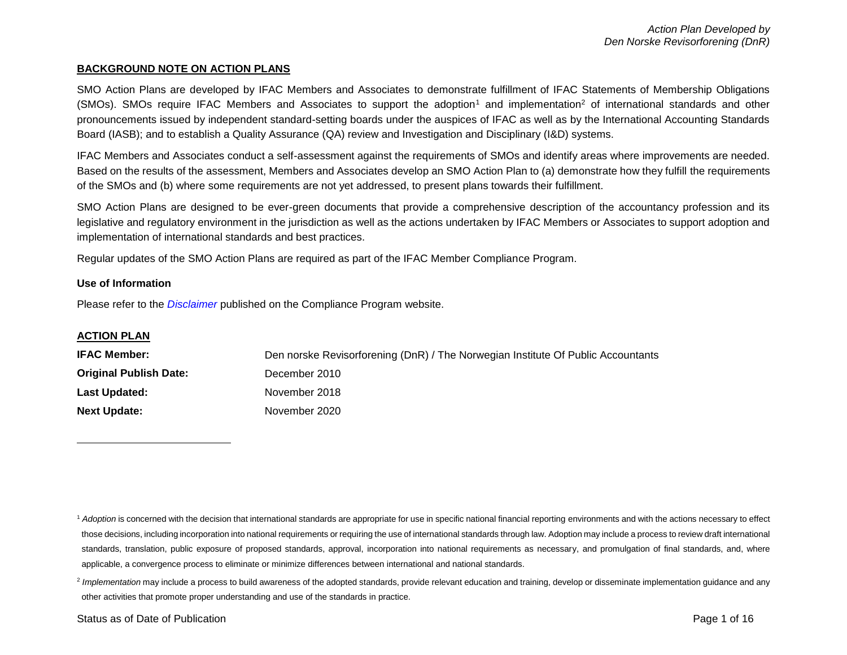## **BACKGROUND NOTE ON ACTION PLANS**

SMO Action Plans are developed by IFAC Members and Associates to demonstrate fulfillment of IFAC Statements of Membership Obligations  $(SMOs)$ . SMOs require IFAC Members and Associates to support the adoption<sup>1</sup> and implementation<sup>2</sup> of international standards and other pronouncements issued by independent standard-setting boards under the auspices of IFAC as well as by the International Accounting Standards Board (IASB); and to establish a Quality Assurance (QA) review and Investigation and Disciplinary (I&D) systems.

IFAC Members and Associates conduct a self-assessment against the requirements of SMOs and identify areas where improvements are needed. Based on the results of the assessment, Members and Associates develop an SMO Action Plan to (a) demonstrate how they fulfill the requirements of the SMOs and (b) where some requirements are not yet addressed, to present plans towards their fulfillment.

SMO Action Plans are designed to be ever-green documents that provide a comprehensive description of the accountancy profession and its legislative and regulatory environment in the jurisdiction as well as the actions undertaken by IFAC Members or Associates to support adoption and implementation of international standards and best practices.

Regular updates of the SMO Action Plans are required as part of the IFAC Member Compliance Program.

### **Use of Information**

Please refer to the *[Disclaimer](http://www.ifac.org/about-ifac/membership/members/disclaimer)* published on the Compliance Program website.

### **ACTION PLAN**

l

| <b>IFAC Member:</b>           | Den norske Revisorforening (DnR) / The Norwegian Institute Of Public Accountants |
|-------------------------------|----------------------------------------------------------------------------------|
| <b>Original Publish Date:</b> | December 2010                                                                    |
| <b>Last Updated:</b>          | November 2018                                                                    |
| <b>Next Update:</b>           | November 2020                                                                    |

<sup>&</sup>lt;sup>1</sup> Adoption is concerned with the decision that international standards are appropriate for use in specific national financial reporting environments and with the actions necessary to effect those decisions, including incorporation into national requirements or requiring the use of international standards through law. Adoption may include a process to review draft international standards, translation, public exposure of proposed standards, approval, incorporation into national requirements as necessary, and promulgation of final standards, and, where applicable, a convergence process to eliminate or minimize differences between international and national standards.

<sup>&</sup>lt;sup>2</sup> Implementation may include a process to build awareness of the adopted standards, provide relevant education and training, develop or disseminate implementation guidance and any other activities that promote proper understanding and use of the standards in practice.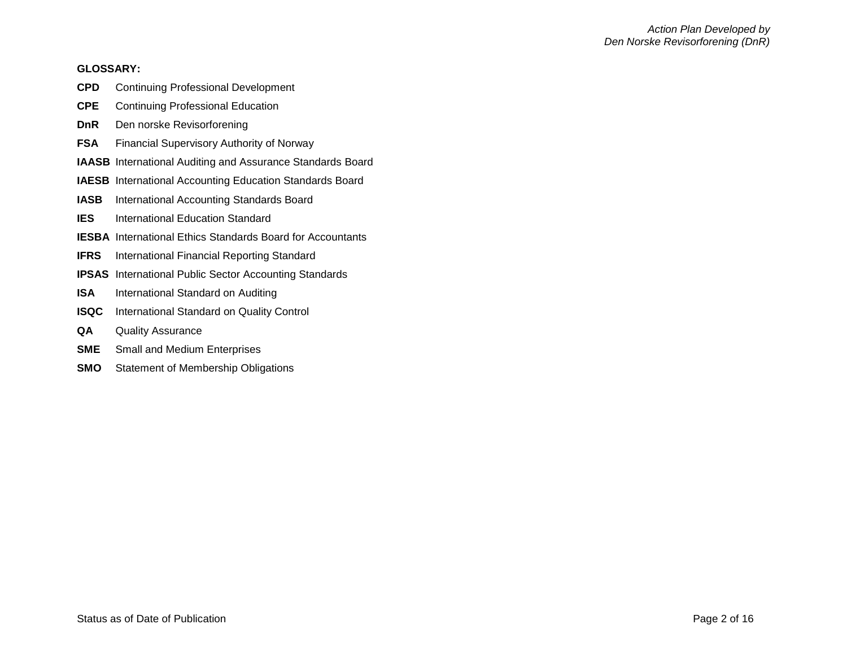### **GLOSSARY:**

- **CPD** Continuing Professional Development
- **CPE** Continuing Professional Education
- **DnR** Den norske Revisorforening
- **FSA** Financial Supervisory Authority of Norway
- **IAASB** International Auditing and Assurance Standards Board
- **IAESB** International Accounting Education Standards Board
- **IASB** International Accounting Standards Board
- **IES** International Education Standard
- **IESBA** International Ethics Standards Board for Accountants
- **IFRS** International Financial Reporting Standard
- **IPSAS** International Public Sector Accounting Standards
- **ISA** International Standard on Auditing
- **ISQC** International Standard on Quality Control
- **QA** Quality Assurance
- **SME** Small and Medium Enterprises
- **SMO** Statement of Membership Obligations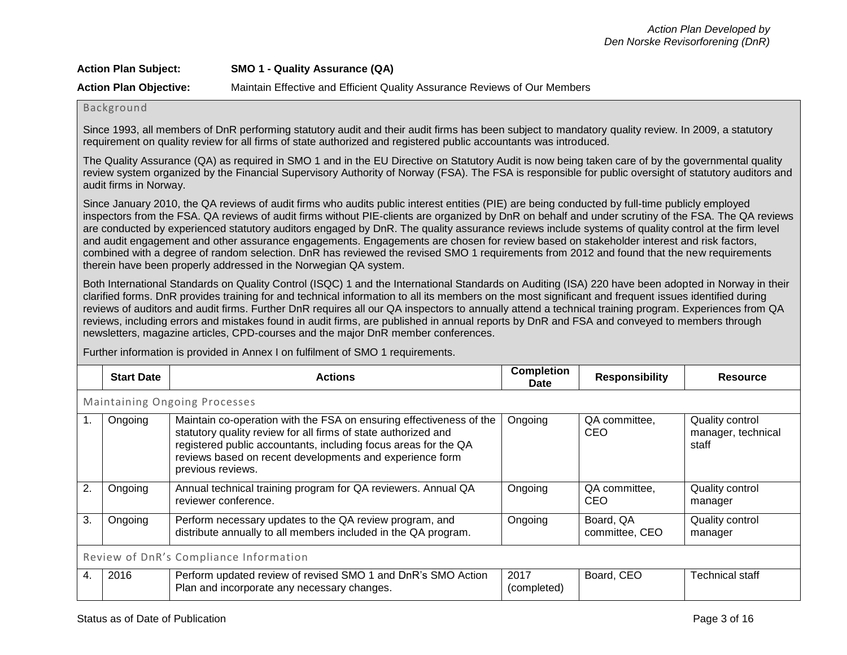| <b>Action Plan Subject:</b>   | <b>SMO 1 - Quality Assurance (QA)</b>                                     |
|-------------------------------|---------------------------------------------------------------------------|
| <b>Action Plan Objective:</b> | Maintain Effective and Efficient Quality Assurance Reviews of Our Members |

# Background

Since 1993, all members of DnR performing statutory audit and their audit firms has been subject to mandatory quality review. In 2009, a statutory requirement on quality review for all firms of state authorized and registered public accountants was introduced.

The Quality Assurance (QA) as required in SMO 1 and in the EU Directive on Statutory Audit is now being taken care of by the governmental quality review system organized by the Financial Supervisory Authority of Norway (FSA). The FSA is responsible for public oversight of statutory auditors and audit firms in Norway.

Since January 2010, the QA reviews of audit firms who audits public interest entities (PIE) are being conducted by full-time publicly employed inspectors from the FSA. QA reviews of audit firms without PIE-clients are organized by DnR on behalf and under scrutiny of the FSA. The QA reviews are conducted by experienced statutory auditors engaged by DnR. The quality assurance reviews include systems of quality control at the firm level and audit engagement and other assurance engagements. Engagements are chosen for review based on stakeholder interest and risk factors, combined with a degree of random selection. DnR has reviewed the revised SMO 1 requirements from 2012 and found that the new requirements therein have been properly addressed in the Norwegian QA system.

Both International Standards on Quality Control (ISQC) 1 and the International Standards on Auditing (ISA) 220 have been adopted in Norway in their clarified forms. DnR provides training for and technical information to all its members on the most significant and frequent issues identified during reviews of auditors and audit firms. Further DnR requires all our QA inspectors to annually attend a technical training program. Experiences from QA reviews, including errors and mistakes found in audit firms, are published in annual reports by DnR and FSA and conveyed to members through newsletters, magazine articles, CPD-courses and the major DnR member conferences.

Further information is provided in Annex I on fulfilment of SMO 1 requirements.

|     | <b>Start Date</b>                      | <b>Actions</b>                                                                                                                                                                                                                                                                            | <b>Completion</b><br><b>Date</b> | <b>Responsibility</b>       | <b>Resource</b>                                |  |  |
|-----|----------------------------------------|-------------------------------------------------------------------------------------------------------------------------------------------------------------------------------------------------------------------------------------------------------------------------------------------|----------------------------------|-----------------------------|------------------------------------------------|--|--|
|     | <b>Maintaining Ongoing Processes</b>   |                                                                                                                                                                                                                                                                                           |                                  |                             |                                                |  |  |
| -1. | Ongoing                                | Maintain co-operation with the FSA on ensuring effectiveness of the<br>statutory quality review for all firms of state authorized and<br>registered public accountants, including focus areas for the QA<br>reviews based on recent developments and experience form<br>previous reviews. | Ongoing                          | QA committee,<br>CEO        | Quality control<br>manager, technical<br>staff |  |  |
| 2.  | Ongoing                                | Annual technical training program for QA reviewers. Annual QA<br>reviewer conference.                                                                                                                                                                                                     | Ongoing                          | QA committee,<br>CEO        | Quality control<br>manager                     |  |  |
| 3.  | Ongoing                                | Perform necessary updates to the QA review program, and<br>distribute annually to all members included in the QA program.                                                                                                                                                                 | Ongoing                          | Board, QA<br>committee, CEO | Quality control<br>manager                     |  |  |
|     | Review of DnR's Compliance Information |                                                                                                                                                                                                                                                                                           |                                  |                             |                                                |  |  |
| 4.  | 2016                                   | Perform updated review of revised SMO 1 and DnR's SMO Action<br>Plan and incorporate any necessary changes.                                                                                                                                                                               | 2017<br>(completed)              | Board, CEO                  | <b>Technical staff</b>                         |  |  |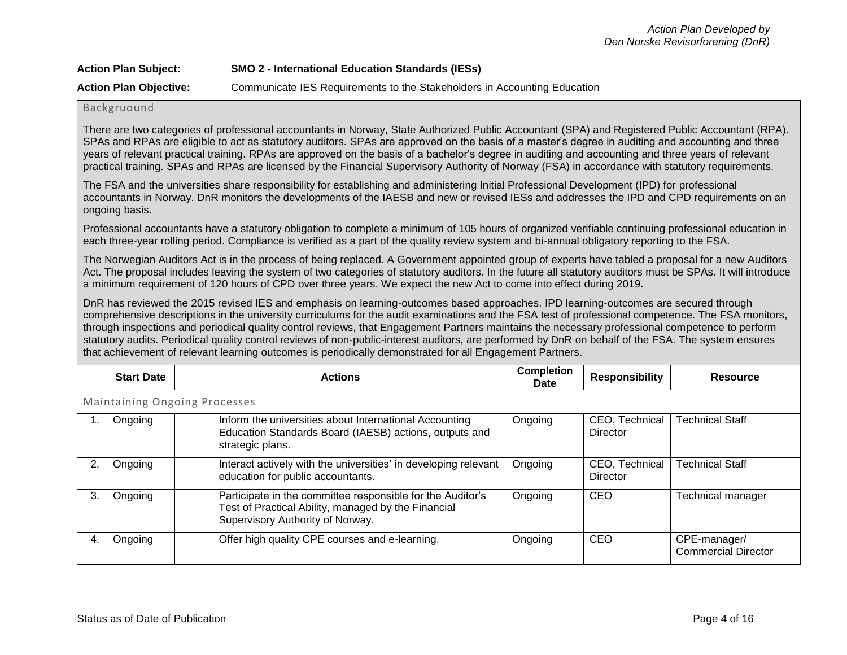| <b>Action Plan Subject:</b>   | <b>SMO 2 - International Education Standards (IESs)</b>                  |
|-------------------------------|--------------------------------------------------------------------------|
| <b>Action Plan Objective:</b> | Communicate IES Requirements to the Stakeholders in Accounting Education |

#### Backgruound

There are two categories of professional accountants in Norway, State Authorized Public Accountant (SPA) and Registered Public Accountant (RPA). SPAs and RPAs are eligible to act as statutory auditors. SPAs are approved on the basis of a master's degree in auditing and accounting and three years of relevant practical training. RPAs are approved on the basis of a bachelor's degree in auditing and accounting and three years of relevant practical training. SPAs and RPAs are licensed by the Financial Supervisory Authority of Norway (FSA) in accordance with statutory requirements.

The FSA and the universities share responsibility for establishing and administering Initial Professional Development (IPD) for professional accountants in Norway. DnR monitors the developments of the IAESB and new or revised IESs and addresses the IPD and CPD requirements on an ongoing basis.

Professional accountants have a statutory obligation to complete a minimum of 105 hours of organized verifiable continuing professional education in each three-year rolling period. Compliance is verified as a part of the quality review system and bi-annual obligatory reporting to the FSA.

The Norwegian Auditors Act is in the process of being replaced. A Government appointed group of experts have tabled a proposal for a new Auditors Act. The proposal includes leaving the system of two categories of statutory auditors. In the future all statutory auditors must be SPAs. It will introduce a minimum requirement of 120 hours of CPD over three years. We expect the new Act to come into effect during 2019.

DnR has reviewed the 2015 revised IES and emphasis on learning-outcomes based approaches. IPD learning-outcomes are secured through comprehensive descriptions in the university curriculums for the audit examinations and the FSA test of professional competence. The FSA monitors, through inspections and periodical quality control reviews, that Engagement Partners maintains the necessary professional competence to perform statutory audits. Periodical quality control reviews of non-public-interest auditors, are performed by DnR on behalf of the FSA. The system ensures that achievement of relevant learning outcomes is periodically demonstrated for all Engagement Partners.

|    | <b>Start Date</b>                    | <b>Actions</b>                                                                                                                                        | <b>Completion</b><br><b>Date</b> | <b>Responsibility</b>             | <b>Resource</b>                            |  |  |
|----|--------------------------------------|-------------------------------------------------------------------------------------------------------------------------------------------------------|----------------------------------|-----------------------------------|--------------------------------------------|--|--|
|    | <b>Maintaining Ongoing Processes</b> |                                                                                                                                                       |                                  |                                   |                                            |  |  |
|    | Ongoing                              | Inform the universities about International Accounting<br>Education Standards Board (IAESB) actions, outputs and<br>strategic plans.                  | Ongoing                          | CEO, Technical<br>Director        | <b>Technical Staff</b>                     |  |  |
|    | Ongoing                              | Interact actively with the universities' in developing relevant<br>education for public accountants.                                                  | Ongoing                          | CEO, Technical<br><b>Director</b> | <b>Technical Staff</b>                     |  |  |
| З. | Ongoing                              | Participate in the committee responsible for the Auditor's<br>Test of Practical Ability, managed by the Financial<br>Supervisory Authority of Norway. | Ongoing                          | CEO                               | <b>Technical manager</b>                   |  |  |
|    | Ongoing                              | Offer high quality CPE courses and e-learning.                                                                                                        | Ongoing                          | CEO                               | CPE-manager/<br><b>Commercial Director</b> |  |  |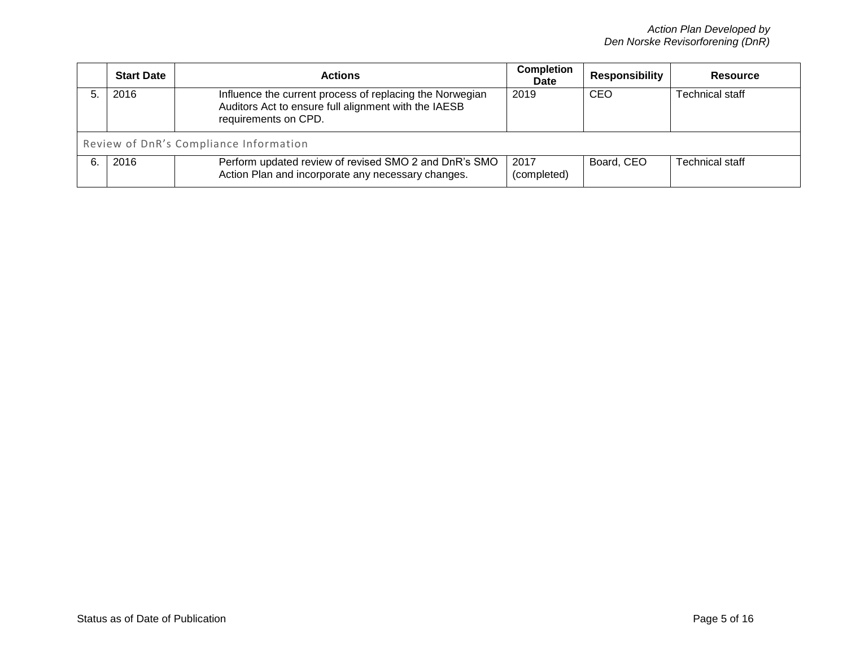| <b>Start Date</b>                      | <b>Actions</b>                                                                                                                           | <b>Completion</b><br><b>Date</b> | Responsibility | <b>Resource</b>        |
|----------------------------------------|------------------------------------------------------------------------------------------------------------------------------------------|----------------------------------|----------------|------------------------|
| 2016                                   | Influence the current process of replacing the Norwegian<br>Auditors Act to ensure full alignment with the IAESB<br>requirements on CPD. | 2019                             | CEO            | <b>Technical staff</b> |
| Review of DnR's Compliance Information |                                                                                                                                          |                                  |                |                        |
| 2016                                   | Perform updated review of revised SMO 2 and DnR's SMO<br>Action Plan and incorporate any necessary changes.                              | 2017<br>(completed)              | Board, CEO     | <b>Technical staff</b> |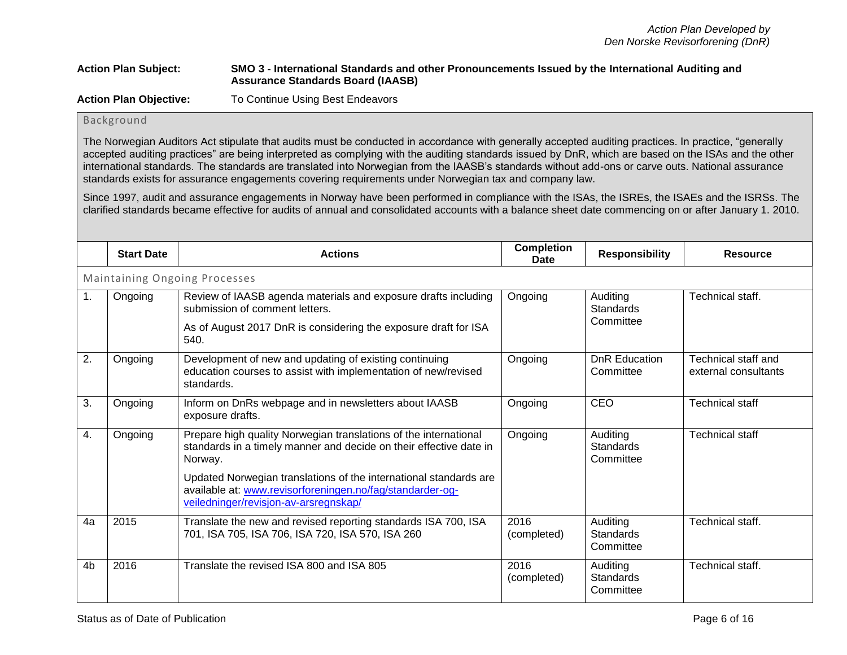# **Action Plan Subject: SMO 3 - International Standards and other Pronouncements Issued by the International Auditing and Assurance Standards Board (IAASB)**

**Action Plan Objective:** To Continue Using Best Endeavors

# Background

The Norwegian Auditors Act stipulate that audits must be conducted in accordance with generally accepted auditing practices. In practice, "generally accepted auditing practices" are being interpreted as complying with the auditing standards issued by DnR, which are based on the ISAs and the other international standards. The standards are translated into Norwegian from the IAASB's standards without add-ons or carve outs. National assurance standards exists for assurance engagements covering requirements under Norwegian tax and company law.

Since 1997, audit and assurance engagements in Norway have been performed in compliance with the ISAs, the ISREs, the ISAEs and the ISRSs. The clarified standards became effective for audits of annual and consolidated accounts with a balance sheet date commencing on or after January 1. 2010.

|                | <b>Start Date</b>                    | <b>Actions</b>                                                                                                                                                                                                                                                                                                               | <b>Completion</b><br>Date | <b>Responsibility</b>                     | <b>Resource</b>                             |  |  |
|----------------|--------------------------------------|------------------------------------------------------------------------------------------------------------------------------------------------------------------------------------------------------------------------------------------------------------------------------------------------------------------------------|---------------------------|-------------------------------------------|---------------------------------------------|--|--|
|                | <b>Maintaining Ongoing Processes</b> |                                                                                                                                                                                                                                                                                                                              |                           |                                           |                                             |  |  |
| $\mathbf{1}$ . | Ongoing                              | Review of IAASB agenda materials and exposure drafts including<br>submission of comment letters.<br>As of August 2017 DnR is considering the exposure draft for ISA<br>540.                                                                                                                                                  | Ongoing                   | Auditing<br>Standards<br>Committee        | Technical staff.                            |  |  |
| 2.             | Ongoing                              | Development of new and updating of existing continuing<br>education courses to assist with implementation of new/revised<br>standards.                                                                                                                                                                                       | Ongoing                   | <b>DnR</b> Education<br>Committee         | Technical staff and<br>external consultants |  |  |
| 3.             | Ongoing                              | Inform on DnRs webpage and in newsletters about IAASB<br>exposure drafts.                                                                                                                                                                                                                                                    | Ongoing                   | CEO                                       | <b>Technical staff</b>                      |  |  |
| 4.             | Ongoing                              | Prepare high quality Norwegian translations of the international<br>standards in a timely manner and decide on their effective date in<br>Norway.<br>Updated Norwegian translations of the international standards are<br>available at: www.revisorforeningen.no/fag/standarder-og-<br>veiledninger/revisjon-av-arsregnskap/ | Ongoing                   | Auditing<br><b>Standards</b><br>Committee | <b>Technical staff</b>                      |  |  |
| 4a             | 2015                                 | Translate the new and revised reporting standards ISA 700, ISA<br>701, ISA 705, ISA 706, ISA 720, ISA 570, ISA 260                                                                                                                                                                                                           | 2016<br>(completed)       | Auditing<br><b>Standards</b><br>Committee | Technical staff.                            |  |  |
| 4 <sub>b</sub> | 2016                                 | Translate the revised ISA 800 and ISA 805                                                                                                                                                                                                                                                                                    | 2016<br>(completed)       | Auditing<br><b>Standards</b><br>Committee | Technical staff.                            |  |  |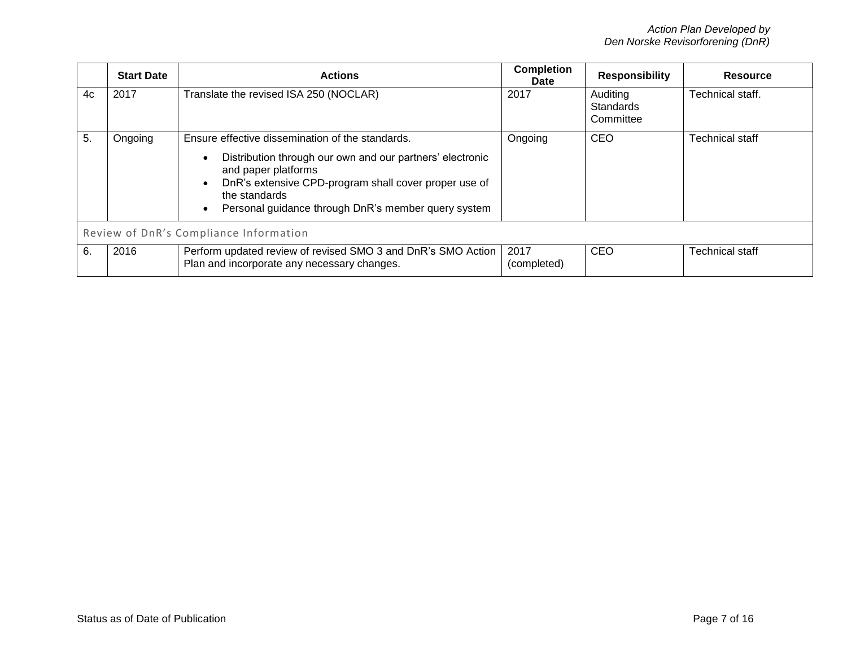|    | <b>Start Date</b>                      | <b>Actions</b>                                                                                                                                                                                                                                                        | <b>Completion</b><br><b>Date</b> | <b>Responsibility</b>              | <b>Resource</b>        |  |
|----|----------------------------------------|-----------------------------------------------------------------------------------------------------------------------------------------------------------------------------------------------------------------------------------------------------------------------|----------------------------------|------------------------------------|------------------------|--|
| 4c | 2017                                   | Translate the revised ISA 250 (NOCLAR)                                                                                                                                                                                                                                | 2017                             | Auditing<br>Standards<br>Committee | Technical staff.       |  |
| 5. | Ongoing                                | Ensure effective dissemination of the standards.<br>Distribution through our own and our partners' electronic<br>and paper platforms<br>DnR's extensive CPD-program shall cover proper use of<br>the standards<br>Personal guidance through DnR's member query system | Ongoing                          | <b>CEO</b>                         | <b>Technical staff</b> |  |
|    | Review of DnR's Compliance Information |                                                                                                                                                                                                                                                                       |                                  |                                    |                        |  |
| 6. | 2016                                   | Perform updated review of revised SMO 3 and DnR's SMO Action<br>Plan and incorporate any necessary changes.                                                                                                                                                           | 2017<br>(completed)              | <b>CEO</b>                         | Technical staff        |  |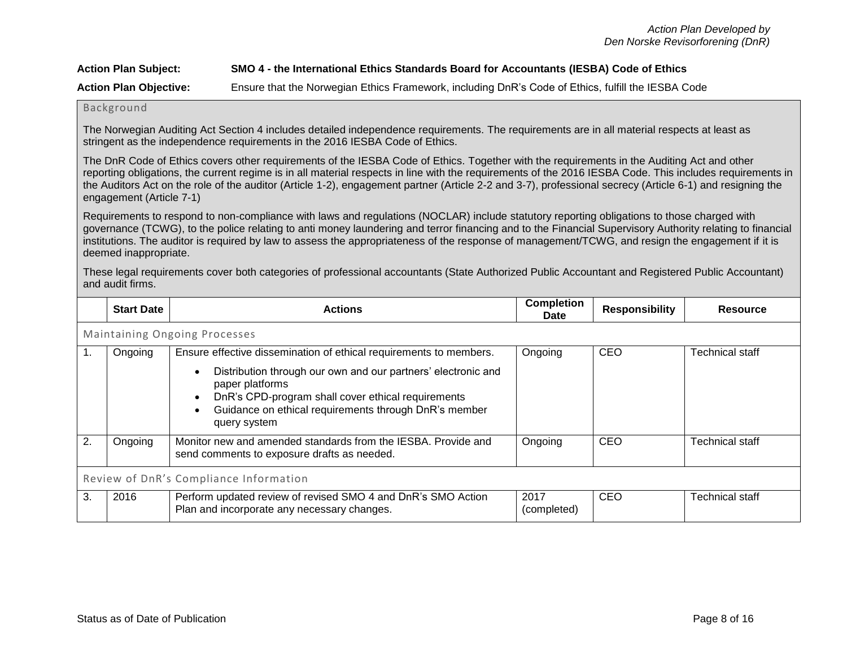# **Action Plan Subject: SMO 4 - the International Ethics Standards Board for Accountants (IESBA) Code of Ethics**

**Action Plan Objective:** Ensure that the Norwegian Ethics Framework, including DnR's Code of Ethics, fulfill the IESBA Code

#### Background

The Norwegian Auditing Act Section 4 includes detailed independence requirements. The requirements are in all material respects at least as stringent as the independence requirements in the 2016 IESBA Code of Ethics.

The DnR Code of Ethics covers other requirements of the IESBA Code of Ethics. Together with the requirements in the Auditing Act and other reporting obligations, the current regime is in all material respects in line with the requirements of the 2016 IESBA Code. This includes requirements in the Auditors Act on the role of the auditor (Article 1-2), engagement partner (Article 2-2 and 3-7), professional secrecy (Article 6-1) and resigning the engagement (Article 7-1)

Requirements to respond to non-compliance with laws and regulations (NOCLAR) include statutory reporting obligations to those charged with governance (TCWG), to the police relating to anti money laundering and terror financing and to the Financial Supervisory Authority relating to financial institutions. The auditor is required by law to assess the appropriateness of the response of management/TCWG, and resign the engagement if it is deemed inappropriate.

These legal requirements cover both categories of professional accountants (State Authorized Public Accountant and Registered Public Accountant) and audit firms.

|    | <b>Start Date</b>                      | <b>Actions</b>                                                                                                                                                                                                                                                                                                  | <b>Completion</b><br>Date | <b>Responsibility</b> | <b>Resource</b>        |  |  |
|----|----------------------------------------|-----------------------------------------------------------------------------------------------------------------------------------------------------------------------------------------------------------------------------------------------------------------------------------------------------------------|---------------------------|-----------------------|------------------------|--|--|
|    | Maintaining Ongoing Processes          |                                                                                                                                                                                                                                                                                                                 |                           |                       |                        |  |  |
|    | Ongoing                                | Ensure effective dissemination of ethical requirements to members.<br>Distribution through our own and our partners' electronic and<br>$\bullet$<br>paper platforms<br>DnR's CPD-program shall cover ethical requirements<br>$\bullet$<br>Guidance on ethical requirements through DnR's member<br>query system | Ongoing                   | CEO                   | <b>Technical staff</b> |  |  |
| 2. | Ongoing                                | Monitor new and amended standards from the IESBA. Provide and<br>send comments to exposure drafts as needed.                                                                                                                                                                                                    | Ongoing                   | CEO                   | <b>Technical staff</b> |  |  |
|    | Review of DnR's Compliance Information |                                                                                                                                                                                                                                                                                                                 |                           |                       |                        |  |  |
| 3. | 2016                                   | Perform updated review of revised SMO 4 and DnR's SMO Action<br>Plan and incorporate any necessary changes.                                                                                                                                                                                                     | 2017<br>(completed)       | CEO                   | <b>Technical staff</b> |  |  |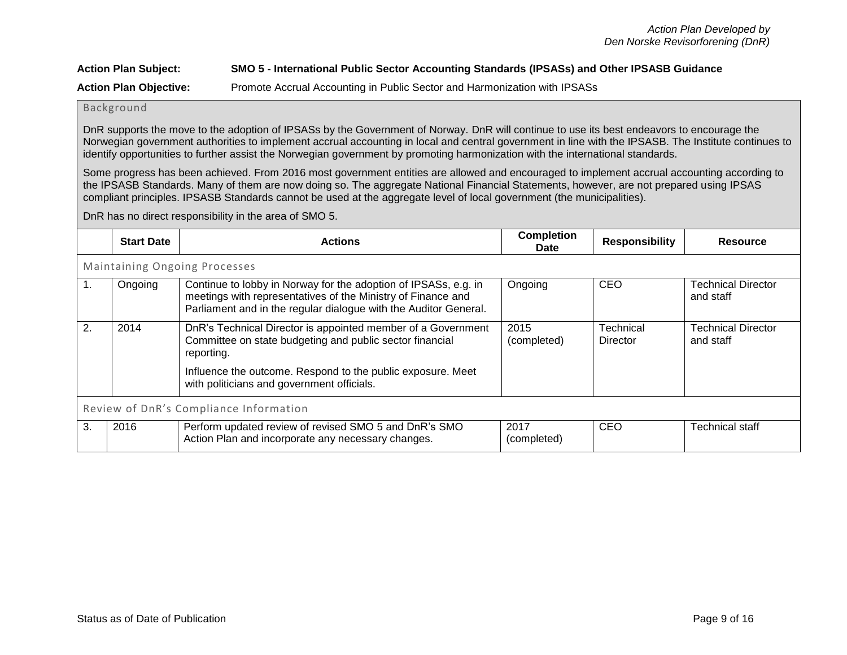# **Action Plan Subject: SMO 5 - International Public Sector Accounting Standards (IPSASs) and Other IPSASB Guidance Action Plan Objective:** Promote Accrual Accounting in Public Sector and Harmonization with IPSASs

# Background

DnR supports the move to the adoption of IPSASs by the Government of Norway. DnR will continue to use its best endeavors to encourage the Norwegian government authorities to implement accrual accounting in local and central government in line with the IPSASB. The Institute continues to identify opportunities to further assist the Norwegian government by promoting harmonization with the international standards.

Some progress has been achieved. From 2016 most government entities are allowed and encouraged to implement accrual accounting according to the IPSASB Standards. Many of them are now doing so. The aggregate National Financial Statements, however, are not prepared using IPSAS compliant principles. IPSASB Standards cannot be used at the aggregate level of local government (the municipalities).

### DnR has no direct responsibility in the area of SMO 5.

|    | <b>Start Date</b>                      | <b>Actions</b>                                                                                                                                                                                        | <b>Completion</b><br><b>Date</b> | <b>Responsibility</b>        | <b>Resource</b>                        |  |  |
|----|----------------------------------------|-------------------------------------------------------------------------------------------------------------------------------------------------------------------------------------------------------|----------------------------------|------------------------------|----------------------------------------|--|--|
|    | <b>Maintaining Ongoing Processes</b>   |                                                                                                                                                                                                       |                                  |                              |                                        |  |  |
| 1. | Ongoing                                | Continue to lobby in Norway for the adoption of IPSASs, e.g. in<br>meetings with representatives of the Ministry of Finance and<br>Parliament and in the regular dialogue with the Auditor General.   | Ongoing                          | <b>CEO</b>                   | <b>Technical Director</b><br>and staff |  |  |
| 2. | 2014                                   | DnR's Technical Director is appointed member of a Government<br>Committee on state budgeting and public sector financial<br>reporting.<br>Influence the outcome. Respond to the public exposure. Meet | 2015<br>(completed)              | <b>Technical</b><br>Director | <b>Technical Director</b><br>and staff |  |  |
|    |                                        | with politicians and government officials.                                                                                                                                                            |                                  |                              |                                        |  |  |
|    | Review of DnR's Compliance Information |                                                                                                                                                                                                       |                                  |                              |                                        |  |  |
| 3. | 2016                                   | Perform updated review of revised SMO 5 and DnR's SMO<br>Action Plan and incorporate any necessary changes.                                                                                           | 2017<br>(completed)              | <b>CEO</b>                   | <b>Technical staff</b>                 |  |  |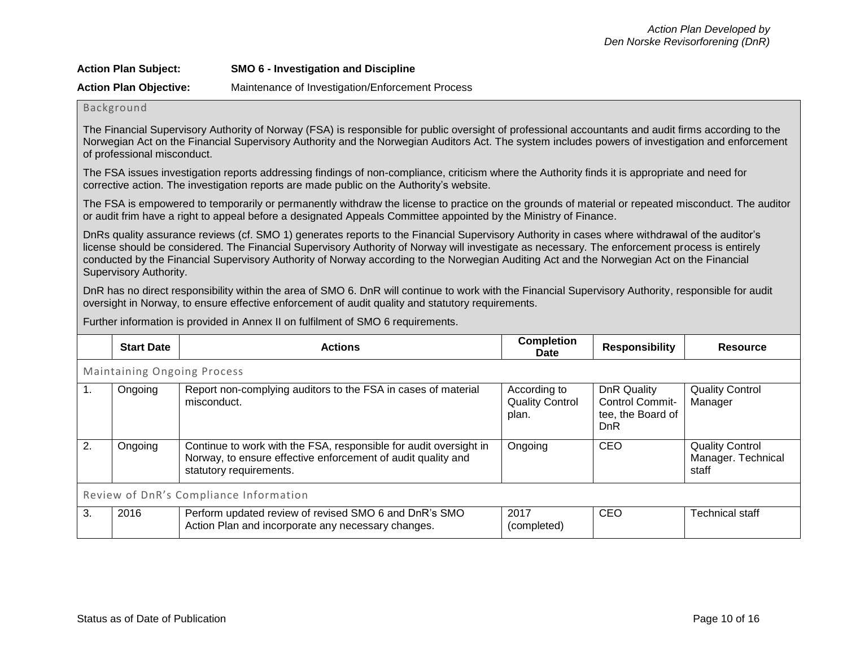| <b>Action Plan Subject:</b>   | SMO 6 - Investigation and Discipline             |
|-------------------------------|--------------------------------------------------|
| <b>Action Plan Objective:</b> | Maintenance of Investigation/Enforcement Process |

## Background

The Financial Supervisory Authority of Norway (FSA) is responsible for public oversight of professional accountants and audit firms according to the Norwegian Act on the Financial Supervisory Authority and the Norwegian Auditors Act. The system includes powers of investigation and enforcement of professional misconduct.

The FSA issues investigation reports addressing findings of non-compliance, criticism where the Authority finds it is appropriate and need for corrective action. The investigation reports are made public on the Authority's website.

The FSA is empowered to temporarily or permanently withdraw the license to practice on the grounds of material or repeated misconduct. The auditor or audit frim have a right to appeal before a designated Appeals Committee appointed by the Ministry of Finance.

DnRs quality assurance reviews (cf. SMO 1) generates reports to the Financial Supervisory Authority in cases where withdrawal of the auditor's license should be considered. The Financial Supervisory Authority of Norway will investigate as necessary. The enforcement process is entirely conducted by the Financial Supervisory Authority of Norway according to the Norwegian Auditing Act and the Norwegian Act on the Financial Supervisory Authority.

DnR has no direct responsibility within the area of SMO 6. DnR will continue to work with the Financial Supervisory Authority, responsible for audit oversight in Norway, to ensure effective enforcement of audit quality and statutory requirements.

Further information is provided in Annex II on fulfilment of SMO 6 requirements.

|    | <b>Start Date</b>                      | <b>Actions</b>                                                                                                                                               | <b>Completion</b><br>Date                       | <b>Responsibility</b>                                                           | <b>Resource</b>                                       |  |
|----|----------------------------------------|--------------------------------------------------------------------------------------------------------------------------------------------------------------|-------------------------------------------------|---------------------------------------------------------------------------------|-------------------------------------------------------|--|
|    | <b>Maintaining Ongoing Process</b>     |                                                                                                                                                              |                                                 |                                                                                 |                                                       |  |
| 1. | Ongoing                                | Report non-complying auditors to the FSA in cases of material<br>misconduct.                                                                                 | According to<br><b>Quality Control</b><br>plan. | <b>DnR Quality</b><br><b>Control Commit-</b><br>tee, the Board of<br><b>DnR</b> | <b>Quality Control</b><br>Manager                     |  |
| 2. | Ongoing                                | Continue to work with the FSA, responsible for audit oversight in<br>Norway, to ensure effective enforcement of audit quality and<br>statutory requirements. | Ongoing                                         | CEO                                                                             | <b>Quality Control</b><br>Manager. Technical<br>staff |  |
|    | Review of DnR's Compliance Information |                                                                                                                                                              |                                                 |                                                                                 |                                                       |  |
| 3. | 2016                                   | Perform updated review of revised SMO 6 and DnR's SMO<br>Action Plan and incorporate any necessary changes.                                                  | 2017<br>(completed)                             | CEO                                                                             | Technical staff                                       |  |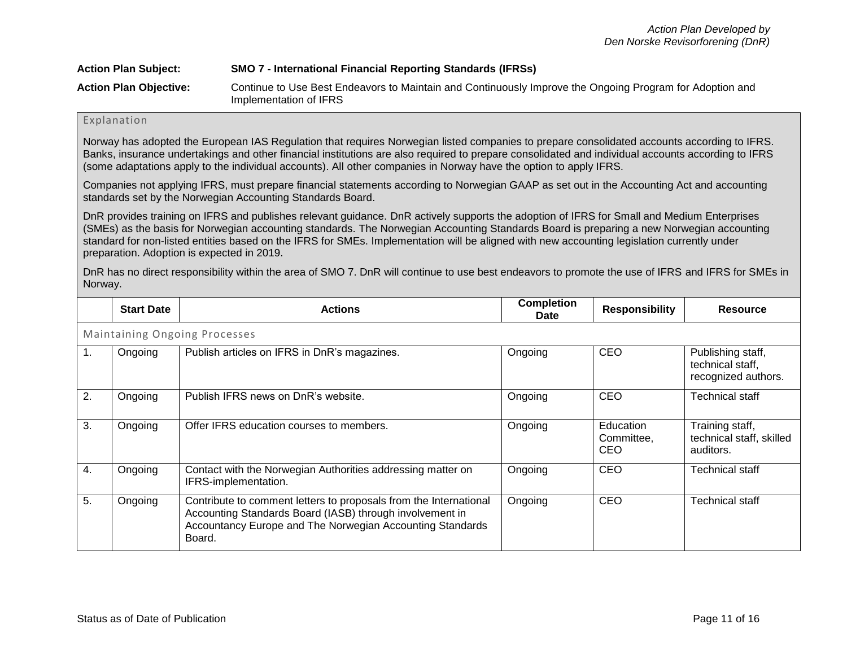| <b>Action Plan Subject:</b>   | <b>SMO 7 - International Financial Reporting Standards (IFRSs)</b>                                                                 |
|-------------------------------|------------------------------------------------------------------------------------------------------------------------------------|
| <b>Action Plan Objective:</b> | Continue to Use Best Endeavors to Maintain and Continuously Improve the Ongoing Program for Adoption and<br>Implementation of IFRS |

# Explanation

Norway has adopted the European IAS Regulation that requires Norwegian listed companies to prepare consolidated accounts according to IFRS. Banks, insurance undertakings and other financial institutions are also required to prepare consolidated and individual accounts according to IFRS (some adaptations apply to the individual accounts). All other companies in Norway have the option to apply IFRS.

Companies not applying IFRS, must prepare financial statements according to Norwegian GAAP as set out in the Accounting Act and accounting standards set by the Norwegian Accounting Standards Board.

DnR provides training on IFRS and publishes relevant guidance. DnR actively supports the adoption of IFRS for Small and Medium Enterprises (SMEs) as the basis for Norwegian accounting standards. The Norwegian Accounting Standards Board is preparing a new Norwegian accounting standard for non-listed entities based on the IFRS for SMEs. Implementation will be aligned with new accounting legislation currently under preparation. Adoption is expected in 2019.

DnR has no direct responsibility within the area of SMO 7. DnR will continue to use best endeavors to promote the use of IFRS and IFRS for SMEs in Norway.

|                                      | <b>Start Date</b> | <b>Actions</b>                                                                                                                                                                                       | <b>Completion</b><br><b>Date</b> | <b>Responsibility</b>          | <b>Resource</b>                                              |  |
|--------------------------------------|-------------------|------------------------------------------------------------------------------------------------------------------------------------------------------------------------------------------------------|----------------------------------|--------------------------------|--------------------------------------------------------------|--|
| <b>Maintaining Ongoing Processes</b> |                   |                                                                                                                                                                                                      |                                  |                                |                                                              |  |
| 1.                                   | Ongoing           | Publish articles on IFRS in DnR's magazines.                                                                                                                                                         | Ongoing                          | CEO                            | Publishing staff,<br>technical staff,<br>recognized authors. |  |
| 2.                                   | Ongoing           | Publish IFRS news on DnR's website.                                                                                                                                                                  | Ongoing                          | <b>CEO</b>                     | <b>Technical staff</b>                                       |  |
| 3.                                   | Ongoing           | Offer IFRS education courses to members.                                                                                                                                                             | Ongoing                          | Education<br>Committee,<br>CEO | Training staff,<br>technical staff, skilled<br>auditors.     |  |
| 4.                                   | Ongoing           | Contact with the Norwegian Authorities addressing matter on<br>IFRS-implementation.                                                                                                                  | Ongoing                          | CEO                            | <b>Technical staff</b>                                       |  |
| 5.                                   | Ongoing           | Contribute to comment letters to proposals from the International<br>Accounting Standards Board (IASB) through involvement in<br>Accountancy Europe and The Norwegian Accounting Standards<br>Board. | Ongoing                          | CEO                            | <b>Technical staff</b>                                       |  |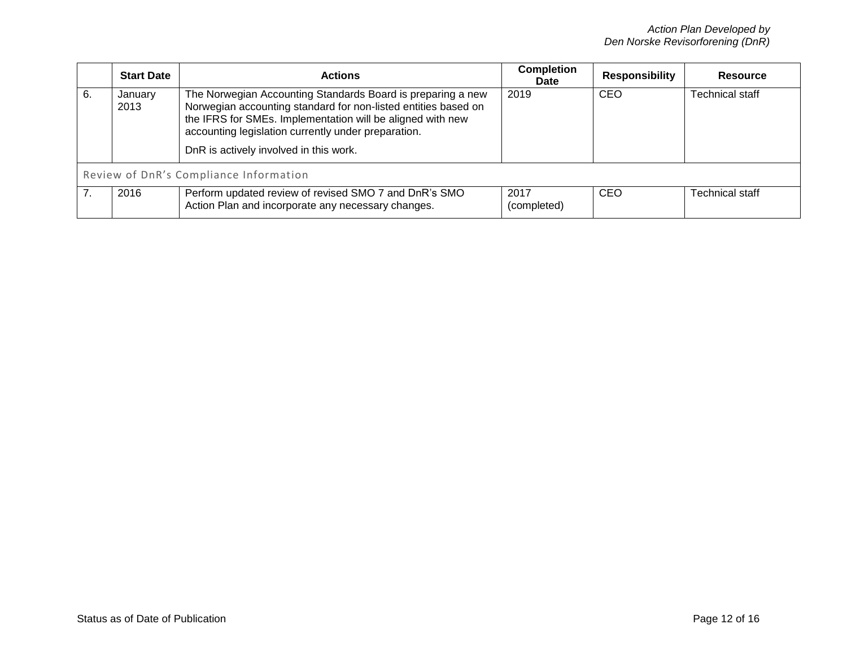|    | <b>Start Date</b>                      | <b>Actions</b>                                                                                                                                                                                                                                                                               | <b>Completion</b><br><b>Date</b> | <b>Responsibility</b> | Resource        |  |  |
|----|----------------------------------------|----------------------------------------------------------------------------------------------------------------------------------------------------------------------------------------------------------------------------------------------------------------------------------------------|----------------------------------|-----------------------|-----------------|--|--|
| 6. | January<br>2013                        | The Norwegian Accounting Standards Board is preparing a new<br>Norwegian accounting standard for non-listed entities based on<br>the IFRS for SMEs. Implementation will be aligned with new<br>accounting legislation currently under preparation.<br>DnR is actively involved in this work. | 2019                             | CEO                   | Technical staff |  |  |
|    | Review of DnR's Compliance Information |                                                                                                                                                                                                                                                                                              |                                  |                       |                 |  |  |
|    | 2016                                   | Perform updated review of revised SMO 7 and DnR's SMO<br>Action Plan and incorporate any necessary changes.                                                                                                                                                                                  | 2017<br>(completed)              | CEO                   | Technical staff |  |  |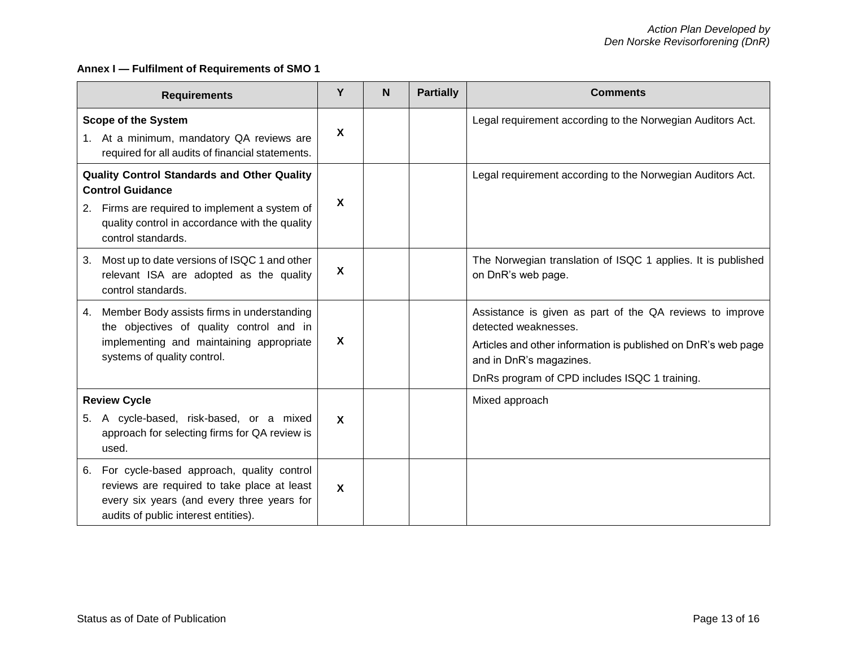# **Annex I — Fulfilment of Requirements of SMO 1**

| <b>Requirements</b>                                                                                                                                                                                        |                  | N | <b>Partially</b> | <b>Comments</b>                                                                                                                                                                                                               |
|------------------------------------------------------------------------------------------------------------------------------------------------------------------------------------------------------------|------------------|---|------------------|-------------------------------------------------------------------------------------------------------------------------------------------------------------------------------------------------------------------------------|
| <b>Scope of the System</b><br>1. At a minimum, mandatory QA reviews are<br>required for all audits of financial statements.                                                                                |                  |   |                  | Legal requirement according to the Norwegian Auditors Act.                                                                                                                                                                    |
| <b>Quality Control Standards and Other Quality</b><br><b>Control Guidance</b><br>Firms are required to implement a system of<br>2.<br>quality control in accordance with the quality<br>control standards. | X                |   |                  | Legal requirement according to the Norwegian Auditors Act.                                                                                                                                                                    |
| Most up to date versions of ISQC 1 and other<br>3.<br>relevant ISA are adopted as the quality<br>control standards.                                                                                        | $\boldsymbol{X}$ |   |                  | The Norwegian translation of ISQC 1 applies. It is published<br>on DnR's web page.                                                                                                                                            |
| Member Body assists firms in understanding<br>4.<br>the objectives of quality control and in<br>implementing and maintaining appropriate<br>systems of quality control.                                    | X                |   |                  | Assistance is given as part of the QA reviews to improve<br>detected weaknesses.<br>Articles and other information is published on DnR's web page<br>and in DnR's magazines.<br>DnRs program of CPD includes ISQC 1 training. |
| <b>Review Cycle</b>                                                                                                                                                                                        |                  |   |                  | Mixed approach                                                                                                                                                                                                                |
| A cycle-based, risk-based, or a mixed<br>5.<br>approach for selecting firms for QA review is<br>used.                                                                                                      | $\boldsymbol{X}$ |   |                  |                                                                                                                                                                                                                               |
| For cycle-based approach, quality control<br>6.<br>reviews are required to take place at least<br>every six years (and every three years for<br>audits of public interest entities).                       | X                |   |                  |                                                                                                                                                                                                                               |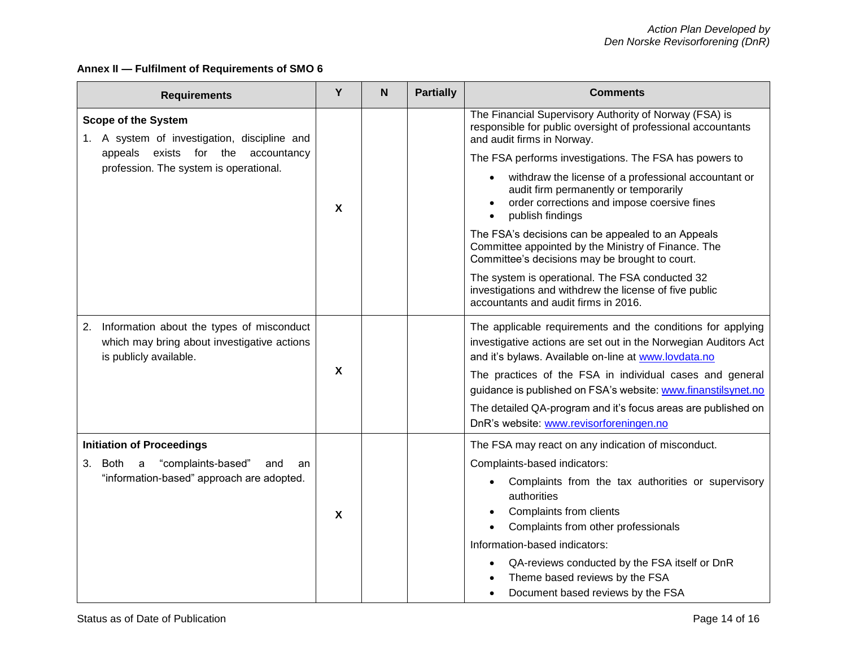# **Annex II — Fulfilment of Requirements of SMO 6**

| <b>Requirements</b>                                                                                                      |                           | N | <b>Partially</b> | <b>Comments</b>                                                                                                                                                                        |
|--------------------------------------------------------------------------------------------------------------------------|---------------------------|---|------------------|----------------------------------------------------------------------------------------------------------------------------------------------------------------------------------------|
| <b>Scope of the System</b><br>1. A system of investigation, discipline and                                               |                           |   |                  | The Financial Supervisory Authority of Norway (FSA) is<br>responsible for public oversight of professional accountants<br>and audit firms in Norway.                                   |
| exists<br>for the<br>accountancy<br>appeals                                                                              | X                         |   |                  | The FSA performs investigations. The FSA has powers to                                                                                                                                 |
| profession. The system is operational.                                                                                   |                           |   |                  | withdraw the license of a professional accountant or<br>audit firm permanently or temporarily<br>order corrections and impose coersive fines<br>publish findings                       |
|                                                                                                                          |                           |   |                  | The FSA's decisions can be appealed to an Appeals<br>Committee appointed by the Ministry of Finance. The<br>Committee's decisions may be brought to court.                             |
|                                                                                                                          |                           |   |                  | The system is operational. The FSA conducted 32<br>investigations and withdrew the license of five public<br>accountants and audit firms in 2016.                                      |
| Information about the types of misconduct<br>2.<br>which may bring about investigative actions<br>is publicly available. | $\boldsymbol{\mathsf{X}}$ |   |                  | The applicable requirements and the conditions for applying<br>investigative actions are set out in the Norwegian Auditors Act<br>and it's bylaws. Available on-line at www.lovdata.no |
|                                                                                                                          |                           |   |                  | The practices of the FSA in individual cases and general<br>guidance is published on FSA's website: www.finanstilsynet.no                                                              |
|                                                                                                                          |                           |   |                  | The detailed QA-program and it's focus areas are published on<br>DnR's website: www.revisorforeningen.no                                                                               |
| <b>Initiation of Proceedings</b>                                                                                         |                           |   |                  | The FSA may react on any indication of misconduct.                                                                                                                                     |
| "complaints-based"<br>3.<br>Both a<br>and<br>an                                                                          | $\boldsymbol{\mathsf{X}}$ |   |                  | Complaints-based indicators:                                                                                                                                                           |
| "information-based" approach are adopted.                                                                                |                           |   |                  | Complaints from the tax authorities or supervisory<br>authorities<br>Complaints from clients<br>Complaints from other professionals                                                    |
|                                                                                                                          |                           |   |                  | Information-based indicators:                                                                                                                                                          |
|                                                                                                                          |                           |   |                  | QA-reviews conducted by the FSA itself or DnR<br>Theme based reviews by the FSA<br>Document based reviews by the FSA                                                                   |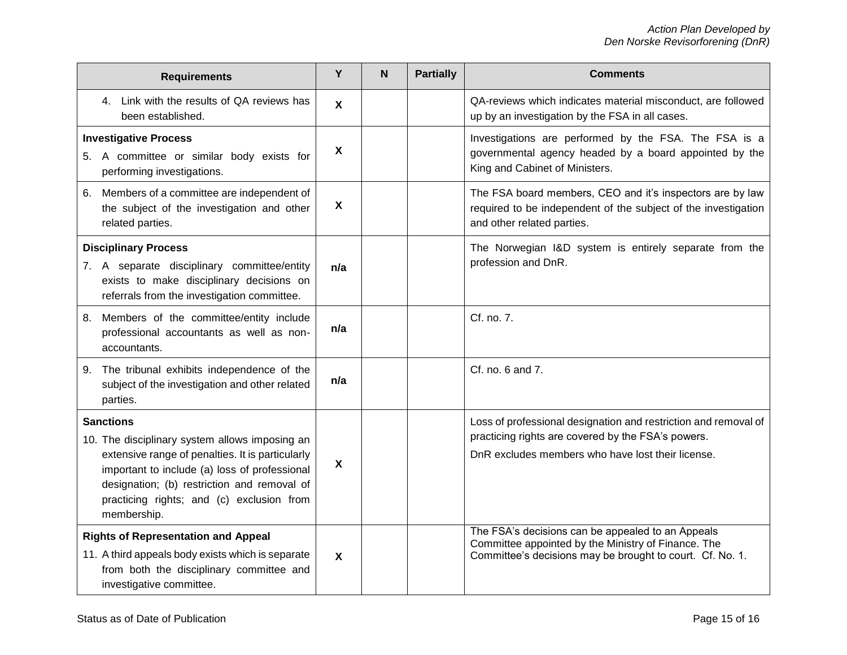| <b>Requirements</b>                                                                                                                                                                                                                                                                |                           | N | <b>Partially</b> | <b>Comments</b>                                                                                                                                                            |
|------------------------------------------------------------------------------------------------------------------------------------------------------------------------------------------------------------------------------------------------------------------------------------|---------------------------|---|------------------|----------------------------------------------------------------------------------------------------------------------------------------------------------------------------|
| 4. Link with the results of QA reviews has<br>been established.                                                                                                                                                                                                                    | $\boldsymbol{\mathsf{X}}$ |   |                  | QA-reviews which indicates material misconduct, are followed<br>up by an investigation by the FSA in all cases.                                                            |
| <b>Investigative Process</b><br>5. A committee or similar body exists for<br>performing investigations.                                                                                                                                                                            |                           |   |                  | Investigations are performed by the FSA. The FSA is a<br>governmental agency headed by a board appointed by the<br>King and Cabinet of Ministers.                          |
| 6. Members of a committee are independent of<br>the subject of the investigation and other<br>related parties.                                                                                                                                                                     | $\boldsymbol{\mathsf{X}}$ |   |                  | The FSA board members, CEO and it's inspectors are by law<br>required to be independent of the subject of the investigation<br>and other related parties.                  |
| <b>Disciplinary Process</b><br>7. A separate disciplinary committee/entity<br>exists to make disciplinary decisions on<br>referrals from the investigation committee.                                                                                                              | n/a                       |   |                  | The Norwegian I&D system is entirely separate from the<br>profession and DnR.                                                                                              |
| Members of the committee/entity include<br>8.<br>professional accountants as well as non-<br>accountants.                                                                                                                                                                          | n/a                       |   |                  | Cf. no. 7.                                                                                                                                                                 |
| The tribunal exhibits independence of the<br>9.<br>subject of the investigation and other related<br>parties.                                                                                                                                                                      | n/a                       |   |                  | Cf. no. 6 and 7.                                                                                                                                                           |
| <b>Sanctions</b><br>10. The disciplinary system allows imposing an<br>extensive range of penalties. It is particularly<br>important to include (a) loss of professional<br>designation; (b) restriction and removal of<br>practicing rights; and (c) exclusion from<br>membership. | $\boldsymbol{X}$          |   |                  | Loss of professional designation and restriction and removal of<br>practicing rights are covered by the FSA's powers.<br>DnR excludes members who have lost their license. |
| <b>Rights of Representation and Appeal</b><br>11. A third appeals body exists which is separate<br>from both the disciplinary committee and<br>investigative committee.                                                                                                            | $\boldsymbol{\mathsf{X}}$ |   |                  | The FSA's decisions can be appealed to an Appeals<br>Committee appointed by the Ministry of Finance. The<br>Committee's decisions may be brought to court. Cf. No. 1.      |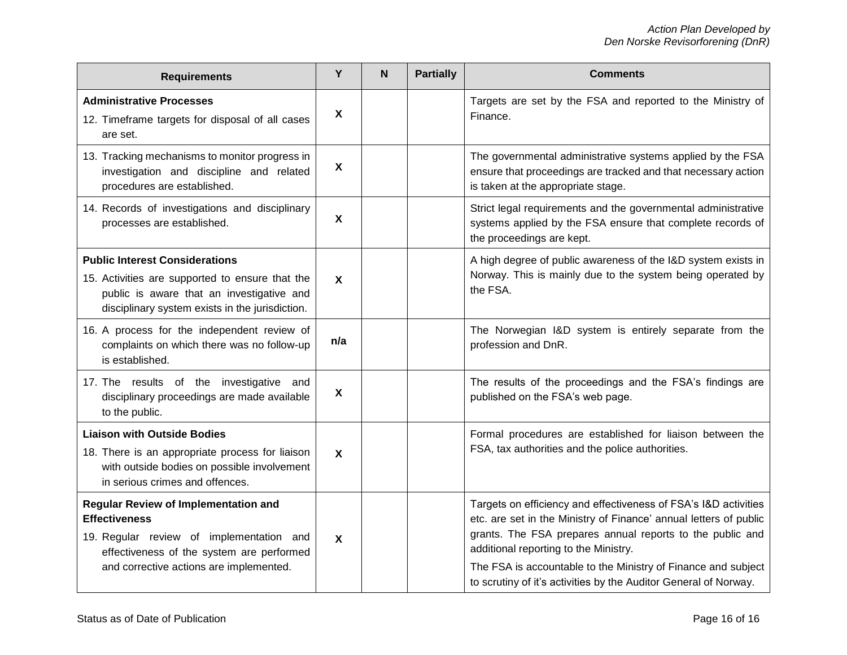| <b>Requirements</b>                                                                                                                                                                                     | Y                         | N | <b>Partially</b> | <b>Comments</b>                                                                                                                                                                                                                                                                                                                                                                 |
|---------------------------------------------------------------------------------------------------------------------------------------------------------------------------------------------------------|---------------------------|---|------------------|---------------------------------------------------------------------------------------------------------------------------------------------------------------------------------------------------------------------------------------------------------------------------------------------------------------------------------------------------------------------------------|
| <b>Administrative Processes</b><br>12. Timeframe targets for disposal of all cases<br>are set.                                                                                                          | $\boldsymbol{\mathsf{X}}$ |   |                  | Targets are set by the FSA and reported to the Ministry of<br>Finance.                                                                                                                                                                                                                                                                                                          |
| 13. Tracking mechanisms to monitor progress in<br>investigation and discipline and related<br>procedures are established.                                                                               | $\boldsymbol{\mathsf{X}}$ |   |                  | The governmental administrative systems applied by the FSA<br>ensure that proceedings are tracked and that necessary action<br>is taken at the appropriate stage.                                                                                                                                                                                                               |
| 14. Records of investigations and disciplinary<br>processes are established.                                                                                                                            | $\boldsymbol{\mathsf{X}}$ |   |                  | Strict legal requirements and the governmental administrative<br>systems applied by the FSA ensure that complete records of<br>the proceedings are kept.                                                                                                                                                                                                                        |
| <b>Public Interest Considerations</b><br>15. Activities are supported to ensure that the<br>public is aware that an investigative and<br>disciplinary system exists in the jurisdiction.                | $\boldsymbol{\mathsf{X}}$ |   |                  | A high degree of public awareness of the I&D system exists in<br>Norway. This is mainly due to the system being operated by<br>the FSA.                                                                                                                                                                                                                                         |
| 16. A process for the independent review of<br>complaints on which there was no follow-up<br>is established.                                                                                            | n/a                       |   |                  | The Norwegian I&D system is entirely separate from the<br>profession and DnR.                                                                                                                                                                                                                                                                                                   |
| 17. The results of the investigative and<br>disciplinary proceedings are made available<br>to the public.                                                                                               | $\boldsymbol{\mathsf{X}}$ |   |                  | The results of the proceedings and the FSA's findings are<br>published on the FSA's web page.                                                                                                                                                                                                                                                                                   |
| <b>Liaison with Outside Bodies</b><br>18. There is an appropriate process for liaison<br>with outside bodies on possible involvement<br>in serious crimes and offences.                                 | $\boldsymbol{\mathsf{X}}$ |   |                  | Formal procedures are established for liaison between the<br>FSA, tax authorities and the police authorities.                                                                                                                                                                                                                                                                   |
| <b>Regular Review of Implementation and</b><br><b>Effectiveness</b><br>19. Regular review of implementation and<br>effectiveness of the system are performed<br>and corrective actions are implemented. | $\boldsymbol{\mathsf{X}}$ |   |                  | Targets on efficiency and effectiveness of FSA's I&D activities<br>etc. are set in the Ministry of Finance' annual letters of public<br>grants. The FSA prepares annual reports to the public and<br>additional reporting to the Ministry.<br>The FSA is accountable to the Ministry of Finance and subject<br>to scrutiny of it's activities by the Auditor General of Norway. |